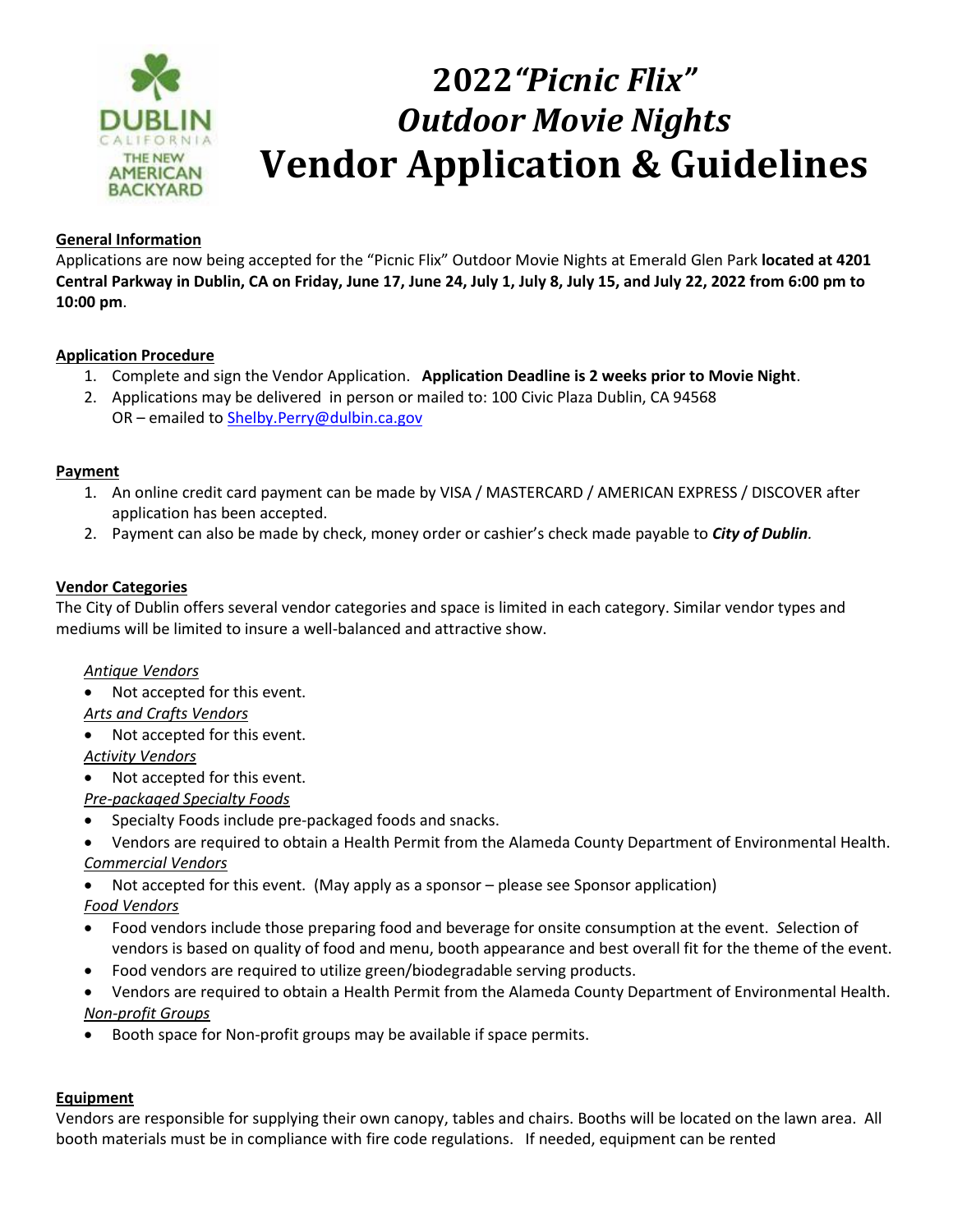

## **2022***"Picnic Flix" Outdoor Movie Nights* **Vendor Application & Guidelines**

## **General Information**

Applications are now being accepted for the "Picnic Flix" Outdoor Movie Nights at Emerald Glen Park **located at 4201 Central Parkway in Dublin, CA on Friday, June 17, June 24, July 1, July 8, July 15, and July 22, 2022 from 6:00 pm to 10:00 pm**.

## **Application Procedure**

- 1. Complete and sign the Vendor Application. **Application Deadline is 2 weeks prior to Movie Night**.
- 2. Applications may be delivered in person or mailed to: 100 Civic Plaza Dublin, CA 94568 OR – emailed to [Shelby.Perry@dulbin.ca.gov](mailto:Shelby.Perry@dulbin.ca.gov)

#### **Payment**

- 1. An online credit card payment can be made by VISA / MASTERCARD / AMERICAN EXPRESS / DISCOVER after application has been accepted.
- 2. Payment can also be made by check, money order or cashier's check made payable to *City of Dublin.*

#### **Vendor Categories**

The City of Dublin offers several vendor categories and space is limited in each category. Similar vendor types and mediums will be limited to insure a well-balanced and attractive show.

#### *Antique Vendors*

- Not accepted for this event.
- *Arts and Crafts Vendors*
- Not accepted for this event. *Activity Vendors*
- Not accepted for this event.

*Pre-packaged Specialty Foods*

- Specialty Foods include pre-packaged foods and snacks.
- Vendors are required to obtain a Health Permit from the Alameda County Department of Environmental Health. *Commercial Vendors*
- Not accepted for this event. (May apply as a sponsor please see Sponsor application) *Food Vendors*
- Food vendors include those preparing food and beverage for onsite consumption at the event. *S*election of vendors is based on quality of food and menu, booth appearance and best overall fit for the theme of the event.
- Food vendors are required to utilize green/biodegradable serving products.
- Vendors are required to obtain a Health Permit from the Alameda County Department of Environmental Health. *Non-profit Groups*
- Booth space for Non-profit groups may be available if space permits.

#### **Equipment**

Vendors are responsible for supplying their own canopy, tables and chairs. Booths will be located on the lawn area. All booth materials must be in compliance with fire code regulations. If needed, equipment can be rented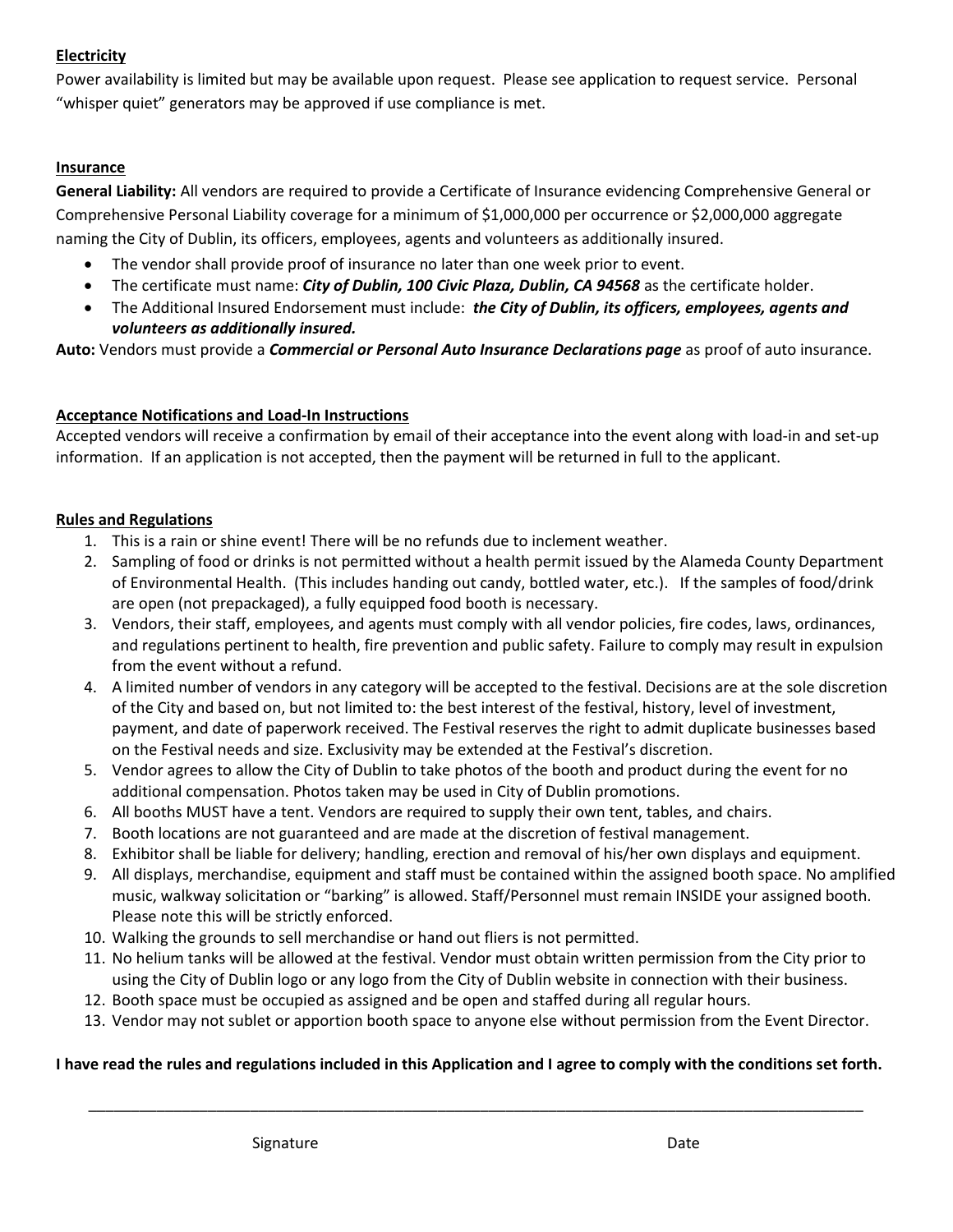## **Electricity**

Power availability is limited but may be available upon request. Please see application to request service. Personal "whisper quiet" generators may be approved if use compliance is met.

## **Insurance**

**General Liability:** All vendors are required to provide a Certificate of Insurance evidencing Comprehensive General or Comprehensive Personal Liability coverage for a minimum of \$1,000,000 per occurrence or \$2,000,000 aggregate naming the City of Dublin, its officers, employees, agents and volunteers as additionally insured.

- The vendor shall provide proof of insurance no later than one week prior to event.
- The certificate must name: *City of Dublin, 100 Civic Plaza, Dublin, CA 94568* as the certificate holder.
- The Additional Insured Endorsement must include: *the City of Dublin, its officers, employees, agents and volunteers as additionally insured.*

**Auto:** Vendors must provide a *Commercial or Personal Auto Insurance Declarations page* as proof of auto insurance.

## **Acceptance Notifications and Load-In Instructions**

Accepted vendors will receive a confirmation by email of their acceptance into the event along with load-in and set-up information. If an application is not accepted, then the payment will be returned in full to the applicant.

#### **Rules and Regulations**

- 1. This is a rain or shine event! There will be no refunds due to inclement weather.
- 2. Sampling of food or drinks is not permitted without a health permit issued by the Alameda County Department of Environmental Health. (This includes handing out candy, bottled water, etc.). If the samples of food/drink are open (not prepackaged), a fully equipped food booth is necessary.
- 3. Vendors, their staff, employees, and agents must comply with all vendor policies, fire codes, laws, ordinances, and regulations pertinent to health, fire prevention and public safety. Failure to comply may result in expulsion from the event without a refund.
- 4. A limited number of vendors in any category will be accepted to the festival. Decisions are at the sole discretion of the City and based on, but not limited to: the best interest of the festival, history, level of investment, payment, and date of paperwork received. The Festival reserves the right to admit duplicate businesses based on the Festival needs and size. Exclusivity may be extended at the Festival's discretion.
- 5. Vendor agrees to allow the City of Dublin to take photos of the booth and product during the event for no additional compensation. Photos taken may be used in City of Dublin promotions.
- 6. All booths MUST have a tent. Vendors are required to supply their own tent, tables, and chairs.
- 7. Booth locations are not guaranteed and are made at the discretion of festival management.
- 8. Exhibitor shall be liable for delivery; handling, erection and removal of his/her own displays and equipment.
- 9. All displays, merchandise, equipment and staff must be contained within the assigned booth space. No amplified music, walkway solicitation or "barking" is allowed. Staff/Personnel must remain INSIDE your assigned booth. Please note this will be strictly enforced.
- 10. Walking the grounds to sell merchandise or hand out fliers is not permitted.
- 11. No helium tanks will be allowed at the festival. Vendor must obtain written permission from the City prior to using the City of Dublin logo or any logo from the City of Dublin website in connection with their business.
- 12. Booth space must be occupied as assigned and be open and staffed during all regular hours.
- 13. Vendor may not sublet or apportion booth space to anyone else without permission from the Event Director.

#### **I have read the rules and regulations included in this Application and I agree to comply with the conditions set forth.**

\_\_\_\_\_\_\_\_\_\_\_\_\_\_\_\_\_\_\_\_\_\_\_\_\_\_\_\_\_\_\_\_\_\_\_\_\_\_\_\_\_\_\_\_\_\_\_\_\_\_\_\_\_\_\_\_\_\_\_\_\_\_\_\_\_\_\_\_\_\_\_\_\_\_\_\_\_\_\_\_\_\_\_\_\_\_\_\_\_\_\_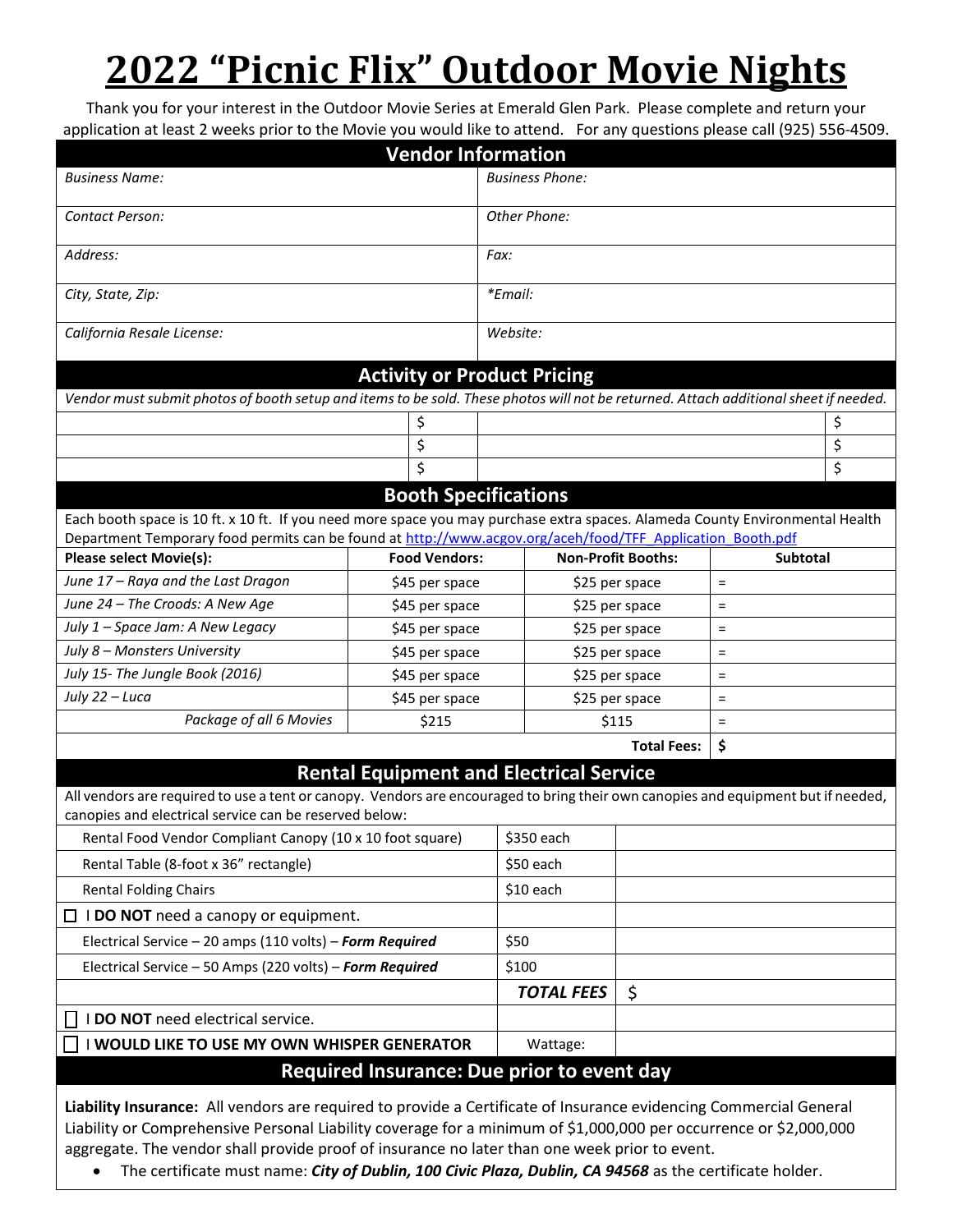# **2022 "Picnic Flix" Outdoor Movie Nights**

Thank you for your interest in the Outdoor Movie Series at Emerald Glen Park. Please complete and return your application at least 2 weeks prior to the Movie you would like to attend. For any questions please call (925) 556-4509.

|                                                                                                                                                                                     | <b>Vendor Information</b>          |                        |                                  |                |                 |    |
|-------------------------------------------------------------------------------------------------------------------------------------------------------------------------------------|------------------------------------|------------------------|----------------------------------|----------------|-----------------|----|
| <b>Business Name:</b>                                                                                                                                                               |                                    | <b>Business Phone:</b> |                                  |                |                 |    |
| Contact Person:                                                                                                                                                                     |                                    | Other Phone:           |                                  |                |                 |    |
| Address:                                                                                                                                                                            |                                    | Fax:                   |                                  |                |                 |    |
| City, State, Zip:                                                                                                                                                                   |                                    | *Email:                |                                  |                |                 |    |
| California Resale License:                                                                                                                                                          |                                    | Website:               |                                  |                |                 |    |
|                                                                                                                                                                                     | <b>Activity or Product Pricing</b> |                        |                                  |                |                 |    |
| Vendor must submit photos of booth setup and items to be sold. These photos will not be returned. Attach additional sheet if needed.                                                |                                    |                        |                                  |                |                 |    |
| \$                                                                                                                                                                                  |                                    |                        |                                  |                |                 | \$ |
| \$                                                                                                                                                                                  |                                    |                        |                                  |                |                 | \$ |
|                                                                                                                                                                                     | \$                                 |                        |                                  |                |                 | \$ |
| <b>Booth Specifications</b>                                                                                                                                                         |                                    |                        |                                  |                |                 |    |
| Each booth space is 10 ft. x 10 ft. If you need more space you may purchase extra spaces. Alameda County Environmental Health                                                       |                                    |                        |                                  |                |                 |    |
| Department Temporary food permits can be found at http://www.acgov.org/aceh/food/TFF Application Booth.pdf                                                                          |                                    |                        |                                  |                |                 |    |
| <b>Please select Movie(s):</b>                                                                                                                                                      | <b>Food Vendors:</b>               |                        | <b>Non-Profit Booths:</b>        |                | <b>Subtotal</b> |    |
| June 17 - Raya and the Last Dragon                                                                                                                                                  | \$45 per space                     |                        | \$25 per space                   |                | $\equiv$        |    |
| June 24 - The Croods: A New Age<br>July 1 - Space Jam: A New Legacy                                                                                                                 |                                    | \$45 per space         |                                  | \$25 per space | $\equiv$        |    |
| July 8 - Monsters University                                                                                                                                                        | \$45 per space                     |                        | \$25 per space                   |                | $\equiv$        |    |
| July 15- The Jungle Book (2016)                                                                                                                                                     | \$45 per space<br>\$45 per space   |                        | \$25 per space<br>\$25 per space |                | $\equiv$<br>$=$ |    |
| July 22 - Luca                                                                                                                                                                      | \$45 per space                     |                        |                                  | \$25 per space | $=$             |    |
| Package of all 6 Movies                                                                                                                                                             | \$215                              |                        |                                  | \$115          | $=$             |    |
|                                                                                                                                                                                     |                                    |                        | <b>Total Fees:</b>               |                | \$              |    |
|                                                                                                                                                                                     |                                    |                        |                                  |                |                 |    |
| <b>Rental Equipment and Electrical Service</b><br>All vendors are required to use a tent or canopy. Vendors are encouraged to bring their own canopies and equipment but if needed, |                                    |                        |                                  |                |                 |    |
| canopies and electrical service can be reserved below:                                                                                                                              |                                    |                        |                                  |                |                 |    |
| Rental Food Vendor Compliant Canopy (10 x 10 foot square)                                                                                                                           |                                    | \$350 each             |                                  |                |                 |    |
| Rental Table (8-foot x 36" rectangle)                                                                                                                                               |                                    | \$50 each              |                                  |                |                 |    |
| <b>Rental Folding Chairs</b>                                                                                                                                                        |                                    | \$10 each              |                                  |                |                 |    |
| $\Box$ <b>I DO NOT</b> need a canopy or equipment.                                                                                                                                  |                                    |                        |                                  |                |                 |    |
| Electrical Service - 20 amps (110 volts) - Form Required                                                                                                                            |                                    | \$50                   |                                  |                |                 |    |
| Electrical Service - 50 Amps (220 volts) - Form Required                                                                                                                            |                                    | \$100                  |                                  |                |                 |    |
|                                                                                                                                                                                     |                                    |                        | <b>TOTAL FEES</b>                |                |                 |    |
| I DO NOT need electrical service.                                                                                                                                                   |                                    |                        | \$                               |                |                 |    |
| I WOULD LIKE TO USE MY OWN WHISPER GENERATOR                                                                                                                                        | Wattage:                           |                        |                                  |                |                 |    |
| Required Insurance: Due prior to event day                                                                                                                                          |                                    |                        |                                  |                |                 |    |
|                                                                                                                                                                                     |                                    |                        |                                  |                |                 |    |
| Liability Insurance: All vendors are required to provide a Certificate of Insurance evidencing Commercial General                                                                   |                                    |                        |                                  |                |                 |    |

Liability or Comprehensive Personal Liability coverage for a minimum of \$1,000,000 per occurrence or \$2,000,000 aggregate. The vendor shall provide proof of insurance no later than one week prior to event.

• The certificate must name: *City of Dublin, 100 Civic Plaza, Dublin, CA 94568* as the certificate holder.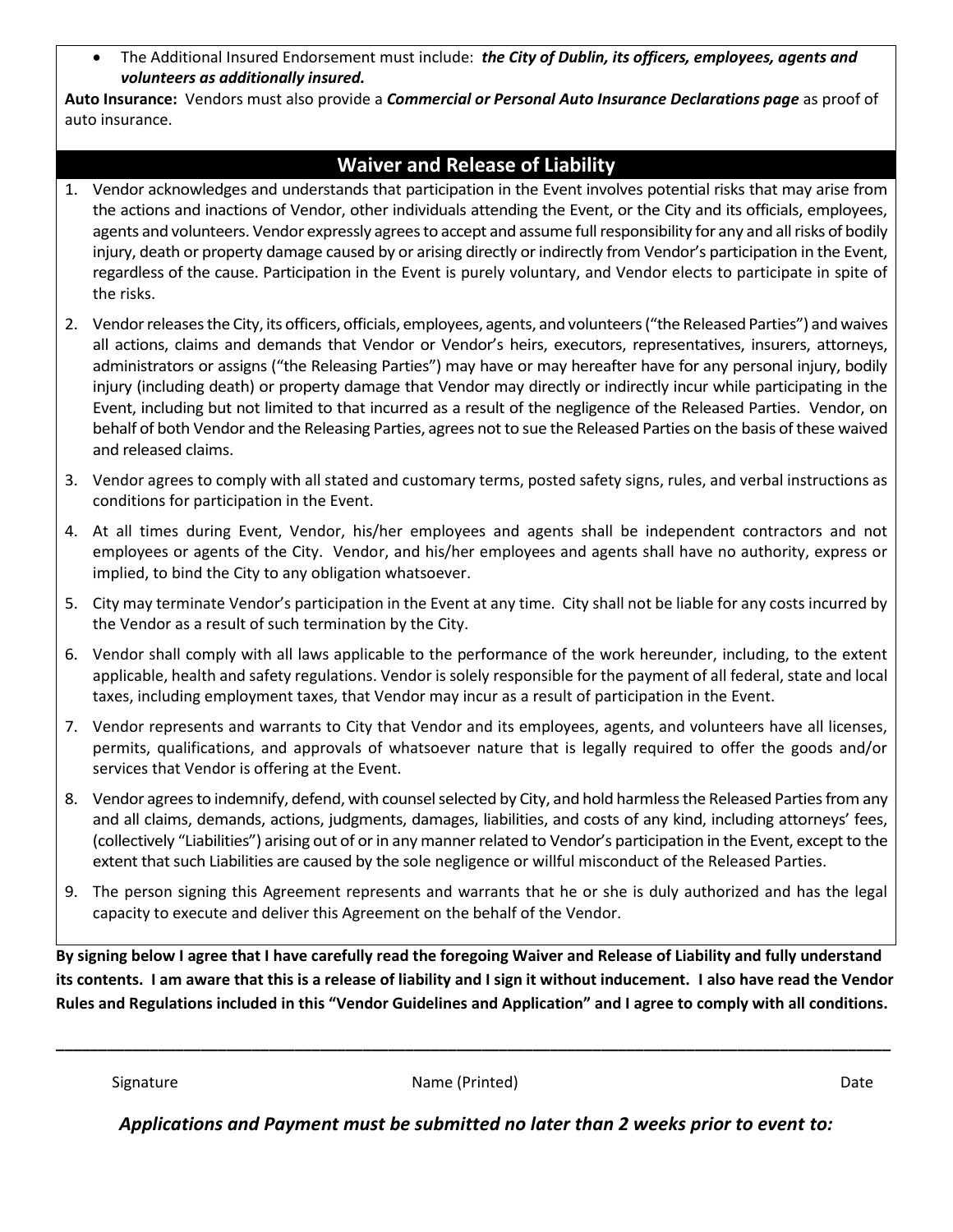• The Additional Insured Endorsement must include: *the City of Dublin, its officers, employees, agents and volunteers as additionally insured.*

**Auto Insurance:** Vendors must also provide a *Commercial or Personal Auto Insurance Declarations page* as proof of auto insurance.

## **Waiver and Release of Liability**

- 1. Vendor acknowledges and understands that participation in the Event involves potential risks that may arise from the actions and inactions of Vendor, other individuals attending the Event, or the City and its officials, employees, agents and volunteers. Vendor expressly agrees to accept and assume full responsibility for any and all risks of bodily injury, death or property damage caused by or arising directly or indirectly from Vendor's participation in the Event, regardless of the cause. Participation in the Event is purely voluntary, and Vendor elects to participate in spite of the risks.
- 2. Vendor releases the City, its officers, officials, employees, agents, and volunteers ("the Released Parties") and waives all actions, claims and demands that Vendor or Vendor's heirs, executors, representatives, insurers, attorneys, administrators or assigns ("the Releasing Parties") may have or may hereafter have for any personal injury, bodily injury (including death) or property damage that Vendor may directly or indirectly incur while participating in the Event, including but not limited to that incurred as a result of the negligence of the Released Parties. Vendor, on behalf of both Vendor and the Releasing Parties, agrees not to sue the Released Parties on the basis of these waived and released claims.
- 3. Vendor agrees to comply with all stated and customary terms, posted safety signs, rules, and verbal instructions as conditions for participation in the Event.
- 4. At all times during Event, Vendor, his/her employees and agents shall be independent contractors and not employees or agents of the City. Vendor, and his/her employees and agents shall have no authority, express or implied, to bind the City to any obligation whatsoever.
- 5. City may terminate Vendor's participation in the Event at any time. City shall not be liable for any costs incurred by the Vendor as a result of such termination by the City.
- 6. Vendor shall comply with all laws applicable to the performance of the work hereunder, including, to the extent applicable, health and safety regulations. Vendor is solely responsible for the payment of all federal, state and local taxes, including employment taxes, that Vendor may incur as a result of participation in the Event.
- 7. Vendor represents and warrants to City that Vendor and its employees, agents, and volunteers have all licenses, permits, qualifications, and approvals of whatsoever nature that is legally required to offer the goods and/or services that Vendor is offering at the Event.
- 8. Vendor agrees to indemnify, defend, with counsel selected by City, and hold harmless the Released Parties from any and all claims, demands, actions, judgments, damages, liabilities, and costs of any kind, including attorneys' fees, (collectively "Liabilities") arising out of or in any manner related to Vendor's participation in the Event, except to the extent that such Liabilities are caused by the sole negligence or willful misconduct of the Released Parties.
- 9. The person signing this Agreement represents and warrants that he or she is duly authorized and has the legal capacity to execute and deliver this Agreement on the behalf of the Vendor.

**By signing below I agree that I have carefully read the foregoing Waiver and Release of Liability and fully understand its contents. I am aware that this is a release of liability and I sign it without inducement. I also have read the Vendor Rules and Regulations included in this "Vendor Guidelines and Application" and I agree to comply with all conditions.** 

Signature **Name (Printed)** Date Construction of the Date of the Date of the Date of the Date of the Date of the Date of the Date of the Date of the Date of the Date of the Date of the Date of the Date of the Date of the Da

**\_\_\_\_\_\_\_\_\_\_\_\_\_\_\_\_\_\_\_\_\_\_\_\_\_\_\_\_\_\_\_\_\_\_\_\_\_\_\_\_\_\_\_\_\_\_\_\_\_\_\_\_\_\_\_\_\_\_\_\_\_\_\_\_\_\_\_\_\_\_\_\_\_\_\_\_\_\_\_\_\_\_\_\_\_\_\_\_\_\_\_\_\_\_\_\_\_\_**

*Applications and Payment must be submitted no later than 2 weeks prior to event to:*